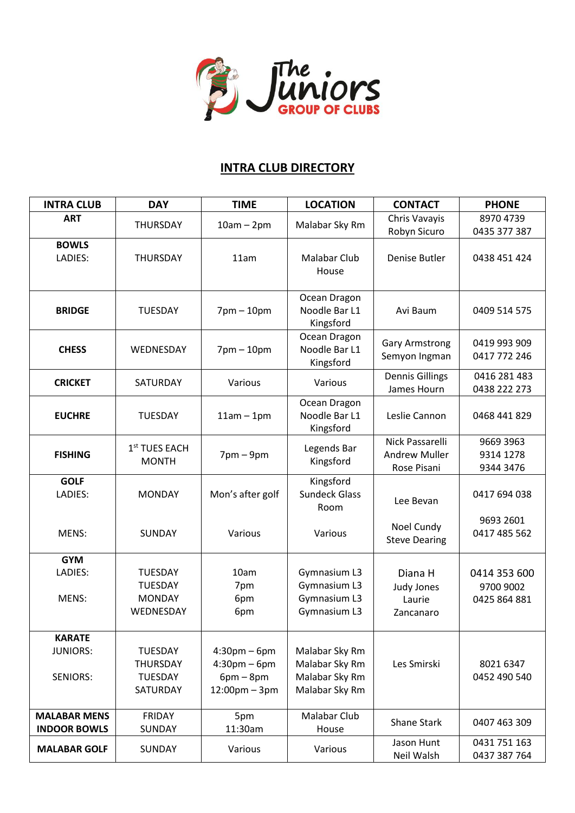

## **INTRA CLUB DIRECTORY**

| <b>INTRA CLUB</b>                                   | <b>DAY</b>                                                      | <b>TIME</b>                                                                          | <b>LOCATION</b>                                                      | <b>CONTACT</b>                                         | <b>PHONE</b>                              |
|-----------------------------------------------------|-----------------------------------------------------------------|--------------------------------------------------------------------------------------|----------------------------------------------------------------------|--------------------------------------------------------|-------------------------------------------|
| <b>ART</b>                                          | <b>THURSDAY</b>                                                 | $10am - 2pm$                                                                         | Malabar Sky Rm                                                       | Chris Vavayis<br>Robyn Sicuro                          | 8970 4739<br>0435 377 387                 |
| <b>BOWLS</b><br>LADIES:                             | <b>THURSDAY</b>                                                 | 11am                                                                                 | <b>Malabar Club</b><br>House                                         | Denise Butler                                          | 0438 451 424                              |
| <b>BRIDGE</b>                                       | <b>TUESDAY</b>                                                  | $7$ pm $-10$ pm                                                                      | Ocean Dragon<br>Noodle Bar L1<br>Kingsford                           | Avi Baum                                               | 0409 514 575                              |
| <b>CHESS</b>                                        | WEDNESDAY                                                       | $7$ pm $-10$ pm                                                                      | Ocean Dragon<br>Noodle Bar L1<br>Kingsford                           | <b>Gary Armstrong</b><br>Semyon Ingman                 | 0419 993 909<br>0417 772 246              |
| <b>CRICKET</b>                                      | SATURDAY                                                        | Various                                                                              | Various                                                              | <b>Dennis Gillings</b><br>James Hourn                  | 0416 281 483<br>0438 222 273              |
| <b>EUCHRE</b>                                       | <b>TUESDAY</b>                                                  | $11am - 1pm$                                                                         | Ocean Dragon<br>Noodle Bar L1<br>Kingsford                           | Leslie Cannon                                          | 0468 441 829                              |
| <b>FISHING</b>                                      | 1 <sup>st</sup> TUES EACH<br><b>MONTH</b>                       | $7$ pm $-9$ pm                                                                       | Legends Bar<br>Kingsford                                             | Nick Passarelli<br><b>Andrew Muller</b><br>Rose Pisani | 9669 3963<br>9314 1278<br>9344 3476       |
| <b>GOLF</b><br>LADIES:                              | <b>MONDAY</b>                                                   | Mon's after golf                                                                     | Kingsford<br><b>Sundeck Glass</b><br>Room                            | Lee Bevan                                              | 0417 694 038                              |
| MENS:                                               | <b>SUNDAY</b>                                                   | Various                                                                              | Various                                                              | Noel Cundy<br><b>Steve Dearing</b>                     | 9693 2601<br>0417 485 562                 |
| <b>GYM</b><br>LADIES:<br>MENS:                      | <b>TUESDAY</b><br><b>TUESDAY</b><br><b>MONDAY</b><br>WEDNESDAY  | 10am<br>7pm<br>6pm<br>6pm                                                            | Gymnasium L3<br>Gymnasium L3<br>Gymnasium L3<br>Gymnasium L3         | Diana H<br>Judy Jones<br>Laurie<br>Zancanaro           | 0414 353 600<br>9700 9002<br>0425 864 881 |
| <b>KARATE</b><br><b>JUNIORS:</b><br><b>SENIORS:</b> | <b>TUESDAY</b><br><b>THURSDAY</b><br><b>TUESDAY</b><br>SATURDAY | $4:30$ pm – 6pm<br>$4:30$ pm – 6pm<br>$6pm - 8pm$<br>$12:00 \text{pm} - 3 \text{pm}$ | Malabar Sky Rm<br>Malabar Sky Rm<br>Malabar Sky Rm<br>Malabar Sky Rm | Les Smirski                                            | 8021 6347<br>0452 490 540                 |
| <b>MALABAR MENS</b><br><b>INDOOR BOWLS</b>          | <b>FRIDAY</b><br>SUNDAY                                         | 5pm<br>11:30am                                                                       | Malabar Club<br>House                                                | <b>Shane Stark</b>                                     | 0407 463 309                              |
| <b>MALABAR GOLF</b>                                 | SUNDAY                                                          | Various                                                                              | Various                                                              | Jason Hunt<br>Neil Walsh                               | 0431 751 163<br>0437 387 764              |